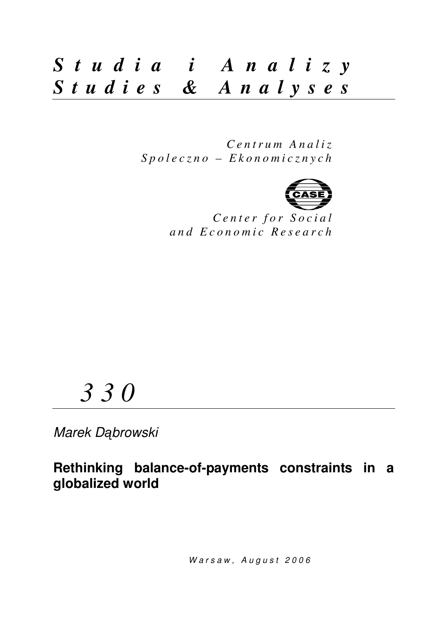## *S t u d i a i A n a l i z y S t u d i e s & A n a l y s e s*

*C e n t r u m A n a l i z S p o l e c z n o – E k o n o m i c z n y c h* 



Center for Social *a n d E c o n o m i c R e s e a r c h*

# *3 3 0*

Marek Dąbrowski

**Rethinking balance-of-payments constraints in a globalized world** 

Warsaw, August 2006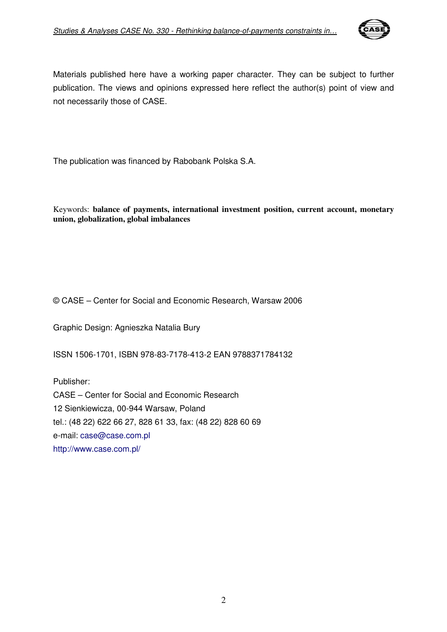

Materials published here have a working paper character. They can be subject to further publication. The views and opinions expressed here reflect the author(s) point of view and not necessarily those of CASE.

The publication was financed by Rabobank Polska S.A.

Keywords: **balance of payments, international investment position, current account, monetary union, globalization, global imbalances**

© CASE – Center for Social and Economic Research, Warsaw 2006

Graphic Design: Agnieszka Natalia Bury

ISSN 1506-1701, ISBN 978-83-7178-413-2 EAN 9788371784132

Publisher: CASE – Center for Social and Economic Research 12 Sienkiewicza, 00-944 Warsaw, Poland tel.: (48 22) 622 66 27, 828 61 33, fax: (48 22) 828 60 69 e-mail: case@case.com.pl http://www.case.com.pl/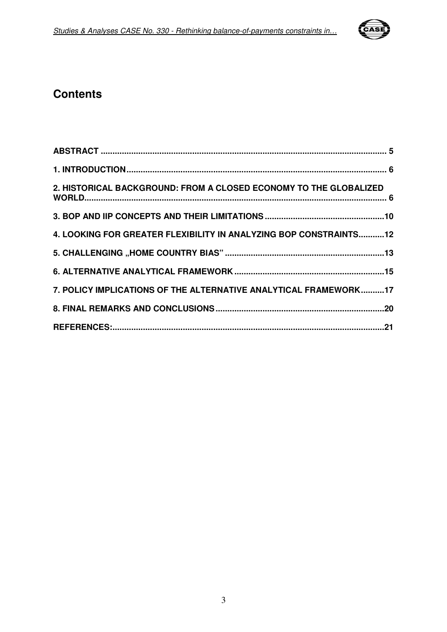

### **Contents**

| 2. HISTORICAL BACKGROUND: FROM A CLOSED ECONOMY TO THE GLOBALIZED |  |
|-------------------------------------------------------------------|--|
|                                                                   |  |
| 4. LOOKING FOR GREATER FLEXIBILITY IN ANALYZING BOP CONSTRAINTS12 |  |
|                                                                   |  |
|                                                                   |  |
| 7. POLICY IMPLICATIONS OF THE ALTERNATIVE ANALYTICAL FRAMEWORK17  |  |
|                                                                   |  |
|                                                                   |  |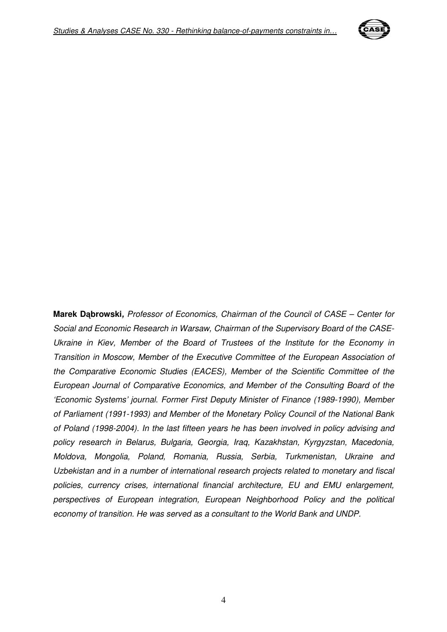

**Marek D**ą**browski,** Professor of Economics, Chairman of the Council of CASE – Center for Social and Economic Research in Warsaw, Chairman of the Supervisory Board of the CASE-Ukraine in Kiev, Member of the Board of Trustees of the Institute for the Economy in Transition in Moscow, Member of the Executive Committee of the European Association of the Comparative Economic Studies (EACES), Member of the Scientific Committee of the European Journal of Comparative Economics, and Member of the Consulting Board of the 'Economic Systems' journal. Former First Deputy Minister of Finance (1989-1990), Member of Parliament (1991-1993) and Member of the Monetary Policy Council of the National Bank of Poland (1998-2004). In the last fifteen years he has been involved in policy advising and policy research in Belarus, Bulgaria, Georgia, Iraq, Kazakhstan, Kyrgyzstan, Macedonia, Moldova, Mongolia, Poland, Romania, Russia, Serbia, Turkmenistan, Ukraine and Uzbekistan and in a number of international research projects related to monetary and fiscal policies, currency crises, international financial architecture, EU and EMU enlargement, perspectives of European integration, European Neighborhood Policy and the political economy of transition. He was served as a consultant to the World Bank and UNDP.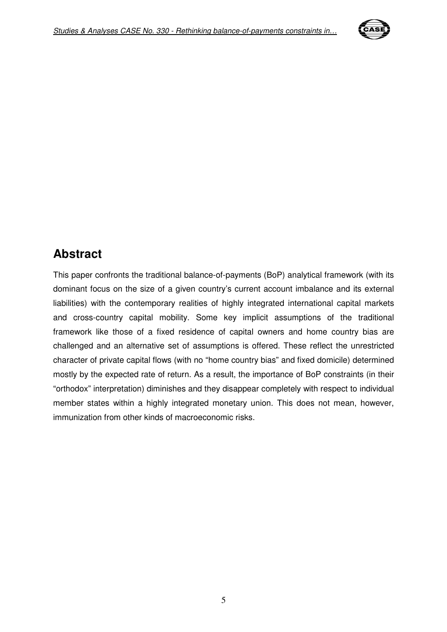

## **Abstract**

This paper confronts the traditional balance-of-payments (BoP) analytical framework (with its dominant focus on the size of a given country's current account imbalance and its external liabilities) with the contemporary realities of highly integrated international capital markets and cross-country capital mobility. Some key implicit assumptions of the traditional framework like those of a fixed residence of capital owners and home country bias are challenged and an alternative set of assumptions is offered. These reflect the unrestricted character of private capital flows (with no "home country bias" and fixed domicile) determined mostly by the expected rate of return. As a result, the importance of BoP constraints (in their "orthodox" interpretation) diminishes and they disappear completely with respect to individual member states within a highly integrated monetary union. This does not mean, however, immunization from other kinds of macroeconomic risks.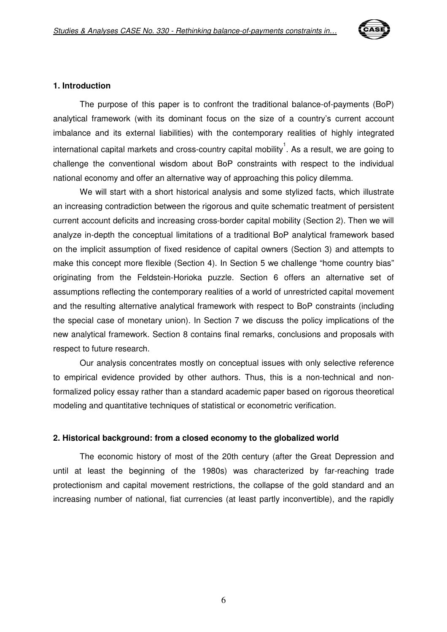

#### **1. Introduction**

The purpose of this paper is to confront the traditional balance-of-payments (BoP) analytical framework (with its dominant focus on the size of a country's current account imbalance and its external liabilities) with the contemporary realities of highly integrated international capital markets and cross-country capital mobility  $^{1}$ . As a result, we are going to challenge the conventional wisdom about BoP constraints with respect to the individual national economy and offer an alternative way of approaching this policy dilemma.

We will start with a short historical analysis and some stylized facts, which illustrate an increasing contradiction between the rigorous and quite schematic treatment of persistent current account deficits and increasing cross-border capital mobility (Section 2). Then we will analyze in-depth the conceptual limitations of a traditional BoP analytical framework based on the implicit assumption of fixed residence of capital owners (Section 3) and attempts to make this concept more flexible (Section 4). In Section 5 we challenge "home country bias" originating from the Feldstein-Horioka puzzle. Section 6 offers an alternative set of assumptions reflecting the contemporary realities of a world of unrestricted capital movement and the resulting alternative analytical framework with respect to BoP constraints (including the special case of monetary union). In Section 7 we discuss the policy implications of the new analytical framework. Section 8 contains final remarks, conclusions and proposals with respect to future research.

Our analysis concentrates mostly on conceptual issues with only selective reference to empirical evidence provided by other authors. Thus, this is a non-technical and nonformalized policy essay rather than a standard academic paper based on rigorous theoretical modeling and quantitative techniques of statistical or econometric verification.

#### **2. Historical background: from a closed economy to the globalized world**

The economic history of most of the 20th century (after the Great Depression and until at least the beginning of the 1980s) was characterized by far-reaching trade protectionism and capital movement restrictions, the collapse of the gold standard and an increasing number of national, fiat currencies (at least partly inconvertible), and the rapidly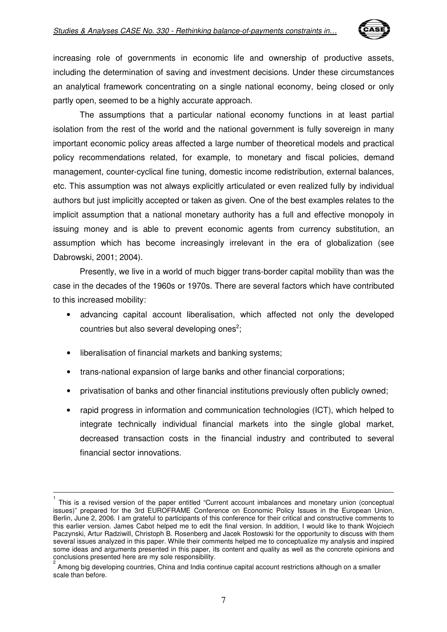

increasing role of governments in economic life and ownership of productive assets, including the determination of saving and investment decisions. Under these circumstances an analytical framework concentrating on a single national economy, being closed or only partly open, seemed to be a highly accurate approach.

The assumptions that a particular national economy functions in at least partial isolation from the rest of the world and the national government is fully sovereign in many important economic policy areas affected a large number of theoretical models and practical policy recommendations related, for example, to monetary and fiscal policies, demand management, counter-cyclical fine tuning, domestic income redistribution, external balances, etc. This assumption was not always explicitly articulated or even realized fully by individual authors but just implicitly accepted or taken as given. One of the best examples relates to the implicit assumption that a national monetary authority has a full and effective monopoly in issuing money and is able to prevent economic agents from currency substitution, an assumption which has become increasingly irrelevant in the era of globalization (see Dabrowski, 2001; 2004).

Presently, we live in a world of much bigger trans-border capital mobility than was the case in the decades of the 1960s or 1970s. There are several factors which have contributed to this increased mobility:

- advancing capital account liberalisation, which affected not only the developed countries but also several developing ones<sup>2</sup>;
- liberalisation of financial markets and banking systems;

 $\overline{a}$ 

- trans-national expansion of large banks and other financial corporations;
- privatisation of banks and other financial institutions previously often publicly owned;
- rapid progress in information and communication technologies (ICT), which helped to integrate technically individual financial markets into the single global market, decreased transaction costs in the financial industry and contributed to several financial sector innovations.

<sup>1</sup> This is a revised version of the paper entitled "Current account imbalances and monetary union (conceptual issues)" prepared for the 3rd EUROFRAME Conference on Economic Policy Issues in the European Union, Berlin, June 2, 2006. I am grateful to participants of this conference for their critical and constructive comments to this earlier version. James Cabot helped me to edit the final version. In addition, I would like to thank Wojciech Paczynski, Artur Radziwill, Christoph B. Rosenberg and Jacek Rostowski for the opportunity to discuss with them several issues analyzed in this paper. While their comments helped me to conceptualize my analysis and inspired some ideas and arguments presented in this paper, its content and quality as well as the concrete opinions and conclusions presented here are my sole responsibility.

<sup>2</sup> Among big developing countries, China and India continue capital account restrictions although on a smaller scale than before.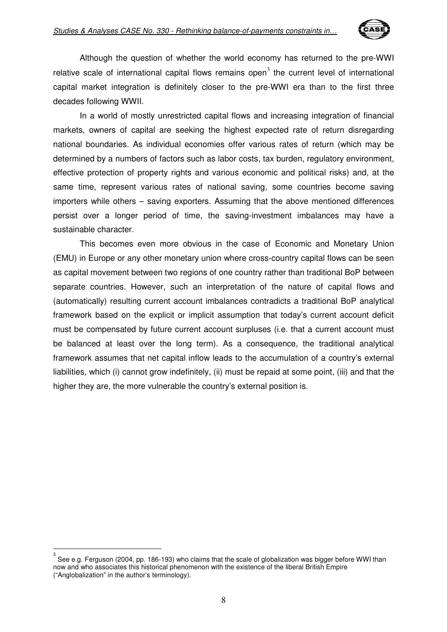

Although the question of whether the world economy has returned to the pre-WWI relative scale of international capital flows remains open<sup>3</sup> the current level of international capital market integration is definitely closer to the pre-WWI era than to the first three decades following WWII.

In a world of mostly unrestricted capital flows and increasing integration of financial markets, owners of capital are seeking the highest expected rate of return disregarding national boundaries. As individual economies offer various rates of return (which may be determined by a numbers of factors such as labor costs, tax burden, regulatory environment, effective protection of property rights and various economic and political risks) and, at the same time, represent various rates of national saving, some countries become saving importers while others – saving exporters. Assuming that the above mentioned differences persist over a longer period of time, the saving-investment imbalances may have a sustainable character.

This becomes even more obvious in the case of Economic and Monetary Union (EMU) in Europe or any other monetary union where cross-country capital flows can be seen as capital movement between two regions of one country rather than traditional BoP between separate countries. However, such an interpretation of the nature of capital flows and (automatically) resulting current account imbalances contradicts a traditional BoP analytical framework based on the explicit or implicit assumption that today's current account deficit must be compensated by future current account surpluses (i.e. that a current account must be balanced at least over the long term). As a consequence, the traditional analytical framework assumes that net capital inflow leads to the accumulation of a country's external liabilities, which (i) cannot grow indefinitely, (ii) must be repaid at some point, (iii) and that the higher they are, the more vulnerable the country's external position is.

 $\overline{a}$ 

<sup>3</sup> See e.g. Ferguson (2004, pp. 186-193) who claims that the scale of globalization was bigger before WWI than now and who associates this historical phenomenon with the existence of the liberal British Empire ("Anglobalization" in the author's terminology).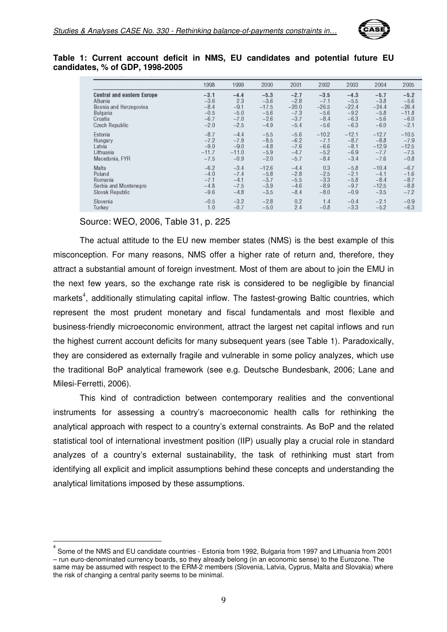

#### **Table 1: Current account deficit in NMS, EU candidates and potential future EU candidates, % of GDP, 1998-2005**

|                                   | 1998    | 1999    | 2000    | 2001    | 2002    | 2003    | 2004    | 2005    |
|-----------------------------------|---------|---------|---------|---------|---------|---------|---------|---------|
| <b>Central and eastern Europe</b> | $-3.1$  | $-4.4$  | $-5.3$  | $-2.7$  | $-3.5$  | $-4.3$  | $-5.7$  | $-5.2$  |
| Albania                           | $-3.6$  | 2.3     | $-3.6$  | $-2.8$  | $-7.1$  | $-5.5$  | $-3.8$  | $-5.6$  |
| Bosnia and Herzegovina            | $-8.4$  | $-9.1$  | $-17.5$ | $-20.0$ | $-26.5$ | $-22.4$ | $-24.4$ | $-26.4$ |
| Bulgaria                          | $-0.5$  | $-5.0$  | $-5.6$  | $-7.3$  | $-5.6$  | $-9.2$  | $-5.8$  | $-11.8$ |
| Croatia                           | $-6.7$  | $-7.0$  | $-2.6$  | $-3.7$  | $-8.4$  | $-6.3$  | $-5.6$  | $-6.0$  |
| Czech Republic                    | $-2.0$  | $-2.5$  | $-4.9$  | $-5.4$  | $-5.6$  | $-6.3$  | $-6.0$  | $-2.1$  |
| Estonia                           | $-8.7$  | $-4.4$  | $-5.5$  | $-5.6$  | $-10.2$ | $-12.1$ | $-12.7$ | $-10.5$ |
| Hungary                           | $-7.2$  | $-7.9$  | $-8.5$  | $-6.2$  | $-7.1$  | $-8.7$  | $-8.8$  | $-7.9$  |
| Latvia                            | $-9.0$  | $-9.0$  | $-4.8$  | $-7.6$  | $-6.6$  | $-8.1$  | $-12.9$ | $-12.5$ |
| Lithuania                         | $-11.7$ | $-11.0$ | $-5.9$  | $-4.7$  | $-5.2$  | $-6.9$  | $-7.7$  | $-7.5$  |
| Macedonia, FYR                    | $-7.5$  | $-0.9$  | $-2.0$  | $-5.7$  | $-8.4$  | $-3.4$  | $-7.6$  | $-0.8$  |
| Malta                             | $-6.2$  | $-3.4$  | $-12.6$ | $-4.4$  | 0.3     | $-5.8$  | $-10.4$ | $-6.7$  |
| Poland                            | $-4.0$  | $-7.4$  | $-5.8$  | $-2.8$  | $-2.5$  | $-2.1$  | $-4.1$  | $-1.6$  |
| Romania                           | $-7.1$  | $-4.1$  | $-3.7$  | $-5.5$  | $-3.3$  | $-5.8$  | $-8.4$  | $-8.7$  |
| Serbia and Montenegro             | $-4.8$  | $-7.5$  | $-3.9$  | $-4.6$  | $-8.9$  | $-9.7$  | $-12.5$ | $-8.8$  |
| Slovak Republic                   | $-9.6$  | $-4.8$  | $-3.5$  | $-8.4$  | $-8.0$  | $-0.9$  | $-3.5$  | $-7.2$  |
| Slovenia                          | $-0.5$  | $-3.2$  | $-2.8$  | 0.2     | 1.4     | $-0.4$  | $-2.1$  | $-0.9$  |
| Turkey                            | 1.0     | $-0.7$  | $-5.0$  | 2.4     | $-0.8$  | $-3.3$  | $-5.2$  | $-6.3$  |

#### Source: WEO, 2006, Table 31, p. 225

 $\overline{\phantom{a}}$ 

The actual attitude to the EU new member states (NMS) is the best example of this misconception. For many reasons, NMS offer a higher rate of return and, therefore, they attract a substantial amount of foreign investment. Most of them are about to join the EMU in the next few years, so the exchange rate risk is considered to be negligible by financial markets<sup>4</sup>, additionally stimulating capital inflow. The fastest-growing Baltic countries, which represent the most prudent monetary and fiscal fundamentals and most flexible and business-friendly microeconomic environment, attract the largest net capital inflows and run the highest current account deficits for many subsequent years (see Table 1). Paradoxically, they are considered as externally fragile and vulnerable in some policy analyzes, which use the traditional BoP analytical framework (see e.g. Deutsche Bundesbank, 2006; Lane and Milesi-Ferretti, 2006).

This kind of contradiction between contemporary realities and the conventional instruments for assessing a country's macroeconomic health calls for rethinking the analytical approach with respect to a country's external constraints. As BoP and the related statistical tool of international investment position (IIP) usually play a crucial role in standard analyzes of a country's external sustainability, the task of rethinking must start from identifying all explicit and implicit assumptions behind these concepts and understanding the analytical limitations imposed by these assumptions.

<sup>4</sup> Some of the NMS and EU candidate countries - Estonia from 1992, Bulgaria from 1997 and Lithuania from 2001 – run euro-denominated currency boards, so they already belong (in an economic sense) to the Eurozone. The same may be assumed with respect to the ERM-2 members (Slovenia, Latvia, Cyprus, Malta and Slovakia) where the risk of changing a central parity seems to be minimal.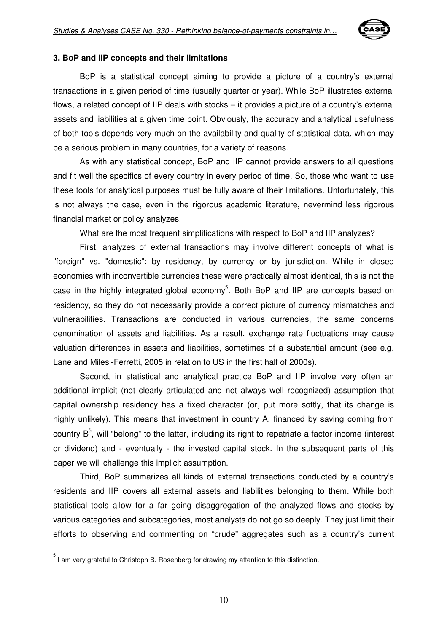

#### **3. BoP and IIP concepts and their limitations**

BoP is a statistical concept aiming to provide a picture of a country's external transactions in a given period of time (usually quarter or year). While BoP illustrates external flows, a related concept of IIP deals with stocks – it provides a picture of a country's external assets and liabilities at a given time point. Obviously, the accuracy and analytical usefulness of both tools depends very much on the availability and quality of statistical data, which may be a serious problem in many countries, for a variety of reasons.

As with any statistical concept, BoP and IIP cannot provide answers to all questions and fit well the specifics of every country in every period of time. So, those who want to use these tools for analytical purposes must be fully aware of their limitations. Unfortunately, this is not always the case, even in the rigorous academic literature, nevermind less rigorous financial market or policy analyzes.

What are the most frequent simplifications with respect to BoP and IIP analyzes?

First, analyzes of external transactions may involve different concepts of what is "foreign" vs. "domestic": by residency, by currency or by jurisdiction. While in closed economies with inconvertible currencies these were practically almost identical, this is not the case in the highly integrated global economy<sup>5</sup>. Both BoP and IIP are concepts based on residency, so they do not necessarily provide a correct picture of currency mismatches and vulnerabilities. Transactions are conducted in various currencies, the same concerns denomination of assets and liabilities. As a result, exchange rate fluctuations may cause valuation differences in assets and liabilities, sometimes of a substantial amount (see e.g. Lane and Milesi-Ferretti, 2005 in relation to US in the first half of 2000s).

Second, in statistical and analytical practice BoP and IIP involve very often an additional implicit (not clearly articulated and not always well recognized) assumption that capital ownership residency has a fixed character (or, put more softly, that its change is highly unlikely). This means that investment in country A, financed by saving coming from country  $B^6$ , will "belong" to the latter, including its right to repatriate a factor income (interest or dividend) and - eventually - the invested capital stock. In the subsequent parts of this paper we will challenge this implicit assumption.

Third, BoP summarizes all kinds of external transactions conducted by a country's residents and IIP covers all external assets and liabilities belonging to them. While both statistical tools allow for a far going disaggregation of the analyzed flows and stocks by various categories and subcategories, most analysts do not go so deeply. They just limit their efforts to observing and commenting on "crude" aggregates such as a country's current

 5 I am very grateful to Christoph B. Rosenberg for drawing my attention to this distinction.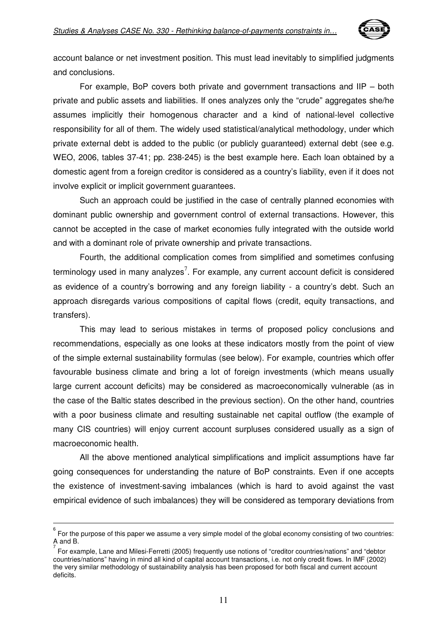

account balance or net investment position. This must lead inevitably to simplified judgments and conclusions.

For example, BoP covers both private and government transactions and IIP – both private and public assets and liabilities. If ones analyzes only the "crude" aggregates she/he assumes implicitly their homogenous character and a kind of national-level collective responsibility for all of them. The widely used statistical/analytical methodology, under which private external debt is added to the public (or publicly guaranteed) external debt (see e.g. WEO, 2006, tables 37-41; pp. 238-245) is the best example here. Each loan obtained by a domestic agent from a foreign creditor is considered as a country's liability, even if it does not involve explicit or implicit government guarantees.

Such an approach could be justified in the case of centrally planned economies with dominant public ownership and government control of external transactions. However, this cannot be accepted in the case of market economies fully integrated with the outside world and with a dominant role of private ownership and private transactions.

Fourth, the additional complication comes from simplified and sometimes confusing terminology used in many analyzes<sup>7</sup>. For example, any current account deficit is considered as evidence of a country's borrowing and any foreign liability - a country's debt. Such an approach disregards various compositions of capital flows (credit, equity transactions, and transfers).

This may lead to serious mistakes in terms of proposed policy conclusions and recommendations, especially as one looks at these indicators mostly from the point of view of the simple external sustainability formulas (see below). For example, countries which offer favourable business climate and bring a lot of foreign investments (which means usually large current account deficits) may be considered as macroeconomically vulnerable (as in the case of the Baltic states described in the previous section). On the other hand, countries with a poor business climate and resulting sustainable net capital outflow (the example of many CIS countries) will enjoy current account surpluses considered usually as a sign of macroeconomic health.

All the above mentioned analytical simplifications and implicit assumptions have far going consequences for understanding the nature of BoP constraints. Even if one accepts the existence of investment-saving imbalances (which is hard to avoid against the vast empirical evidence of such imbalances) they will be considered as temporary deviations from

 $\overline{a}$ 

<sup>6</sup> For the purpose of this paper we assume a very simple model of the global economy consisting of two countries: A and B.

<sup>7</sup> For example, Lane and Milesi-Ferretti (2005) frequently use notions of "creditor countries/nations" and "debtor countries/nations" having in mind all kind of capital account transactions, i.e. not only credit flows. In IMF (2002) the very similar methodology of sustainability analysis has been proposed for both fiscal and current account deficits.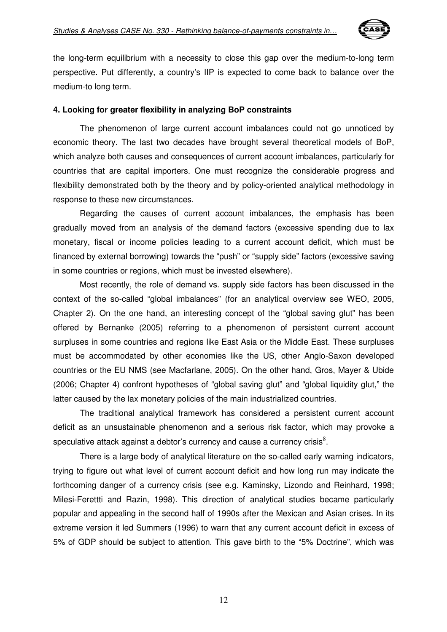

the long-term equilibrium with a necessity to close this gap over the medium-to-long term perspective. Put differently, a country's IIP is expected to come back to balance over the medium-to long term.

#### **4. Looking for greater flexibility in analyzing BoP constraints**

The phenomenon of large current account imbalances could not go unnoticed by economic theory. The last two decades have brought several theoretical models of BoP, which analyze both causes and consequences of current account imbalances, particularly for countries that are capital importers. One must recognize the considerable progress and flexibility demonstrated both by the theory and by policy-oriented analytical methodology in response to these new circumstances.

Regarding the causes of current account imbalances, the emphasis has been gradually moved from an analysis of the demand factors (excessive spending due to lax monetary, fiscal or income policies leading to a current account deficit, which must be financed by external borrowing) towards the "push" or "supply side" factors (excessive saving in some countries or regions, which must be invested elsewhere).

Most recently, the role of demand vs. supply side factors has been discussed in the context of the so-called "global imbalances" (for an analytical overview see WEO, 2005, Chapter 2). On the one hand, an interesting concept of the "global saving glut" has been offered by Bernanke (2005) referring to a phenomenon of persistent current account surpluses in some countries and regions like East Asia or the Middle East. These surpluses must be accommodated by other economies like the US, other Anglo-Saxon developed countries or the EU NMS (see Macfarlane, 2005). On the other hand, Gros, Mayer & Ubide (2006; Chapter 4) confront hypotheses of "global saving glut" and "global liquidity glut," the latter caused by the lax monetary policies of the main industrialized countries.

The traditional analytical framework has considered a persistent current account deficit as an unsustainable phenomenon and a serious risk factor, which may provoke a speculative attack against a debtor's currency and cause a currency crisis $^8$ .

There is a large body of analytical literature on the so-called early warning indicators, trying to figure out what level of current account deficit and how long run may indicate the forthcoming danger of a currency crisis (see e.g. Kaminsky, Lizondo and Reinhard, 1998; Milesi-Ferettti and Razin, 1998). This direction of analytical studies became particularly popular and appealing in the second half of 1990s after the Mexican and Asian crises. In its extreme version it led Summers (1996) to warn that any current account deficit in excess of 5% of GDP should be subject to attention. This gave birth to the "5% Doctrine", which was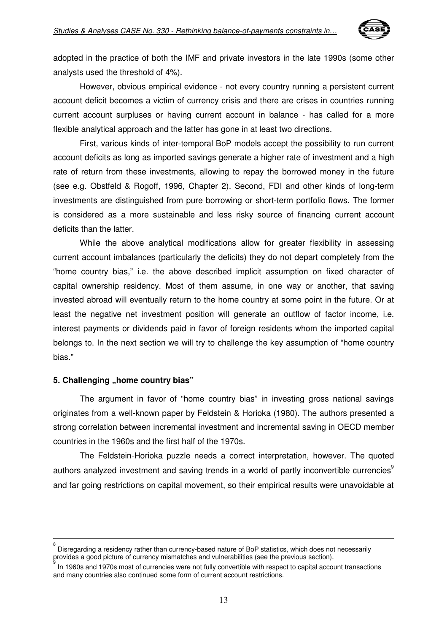

adopted in the practice of both the IMF and private investors in the late 1990s (some other analysts used the threshold of 4%).

However, obvious empirical evidence - not every country running a persistent current account deficit becomes a victim of currency crisis and there are crises in countries running current account surpluses or having current account in balance - has called for a more flexible analytical approach and the latter has gone in at least two directions.

First, various kinds of inter-temporal BoP models accept the possibility to run current account deficits as long as imported savings generate a higher rate of investment and a high rate of return from these investments, allowing to repay the borrowed money in the future (see e.g. Obstfeld & Rogoff, 1996, Chapter 2). Second, FDI and other kinds of long-term investments are distinguished from pure borrowing or short-term portfolio flows. The former is considered as a more sustainable and less risky source of financing current account deficits than the latter.

While the above analytical modifications allow for greater flexibility in assessing current account imbalances (particularly the deficits) they do not depart completely from the "home country bias," i.e. the above described implicit assumption on fixed character of capital ownership residency. Most of them assume, in one way or another, that saving invested abroad will eventually return to the home country at some point in the future. Or at least the negative net investment position will generate an outflow of factor income, i.e. interest payments or dividends paid in favor of foreign residents whom the imported capital belongs to. In the next section we will try to challenge the key assumption of "home country bias."

#### **5. Challenging "home country bias"**

 $\overline{a}$ 

The argument in favor of "home country bias" in investing gross national savings originates from a well-known paper by Feldstein & Horioka (1980). The authors presented a strong correlation between incremental investment and incremental saving in OECD member countries in the 1960s and the first half of the 1970s.

The Feldstein-Horioka puzzle needs a correct interpretation, however. The quoted authors analyzed investment and saving trends in a world of partly inconvertible currencies<sup>9</sup> and far going restrictions on capital movement, so their empirical results were unavoidable at

<sup>8</sup> Disregarding a residency rather than currency-based nature of BoP statistics, which does not necessarily provides a good picture of currency mismatches and vulnerabilities (see the previous section).

<sup>9</sup> In 1960s and 1970s most of currencies were not fully convertible with respect to capital account transactions and many countries also continued some form of current account restrictions.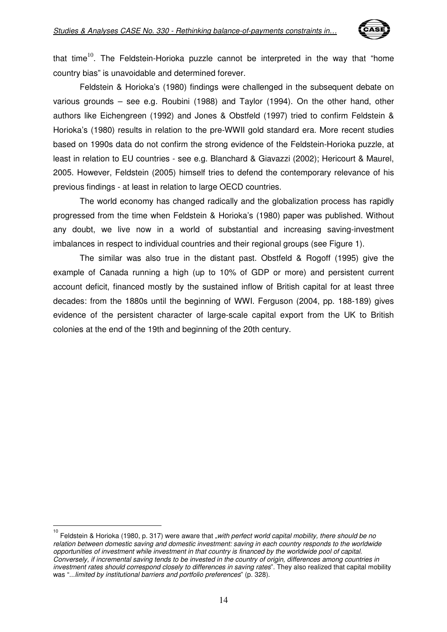

that time<sup>10</sup>. The Feldstein-Horioka puzzle cannot be interpreted in the way that "home country bias" is unavoidable and determined forever.

Feldstein & Horioka's (1980) findings were challenged in the subsequent debate on various grounds – see e.g. Roubini (1988) and Taylor (1994). On the other hand, other authors like Eichengreen (1992) and Jones & Obstfeld (1997) tried to confirm Feldstein & Horioka's (1980) results in relation to the pre-WWII gold standard era. More recent studies based on 1990s data do not confirm the strong evidence of the Feldstein-Horioka puzzle, at least in relation to EU countries - see e.g. Blanchard & Giavazzi (2002); Hericourt & Maurel, 2005. However, Feldstein (2005) himself tries to defend the contemporary relevance of his previous findings - at least in relation to large OECD countries.

The world economy has changed radically and the globalization process has rapidly progressed from the time when Feldstein & Horioka's (1980) paper was published. Without any doubt, we live now in a world of substantial and increasing saving-investment imbalances in respect to individual countries and their regional groups (see Figure 1).

The similar was also true in the distant past. Obstfeld & Rogoff (1995) give the example of Canada running a high (up to 10% of GDP or more) and persistent current account deficit, financed mostly by the sustained inflow of British capital for at least three decades: from the 1880s until the beginning of WWI. Ferguson (2004, pp. 188-189) gives evidence of the persistent character of large-scale capital export from the UK to British colonies at the end of the 19th and beginning of the 20th century.

<sup>10&</sup>lt;br><sup>10</sup> Feldstein & Horioka (1980, p. 317) were aware that "*with perfect world capital mobility, there should be no* relation between domestic saving and domestic investment: saving in each country responds to the worldwide opportunities of investment while investment in that country is financed by the worldwide pool of capital. Conversely, if incremental saving tends to be invested in the country of origin, differences among countries in investment rates should correspond closely to differences in saving rates". They also realized that capital mobility was "...limited by institutional barriers and portfolio preferences" (p. 328).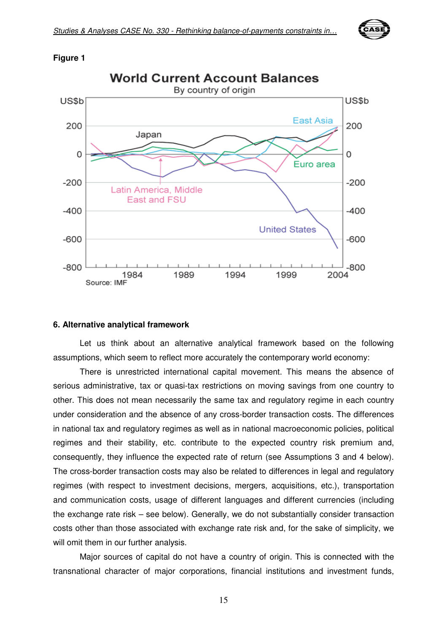

#### **Figure 1**



#### **6. Alternative analytical framework**

Let us think about an alternative analytical framework based on the following assumptions, which seem to reflect more accurately the contemporary world economy:

There is unrestricted international capital movement. This means the absence of serious administrative, tax or quasi-tax restrictions on moving savings from one country to other. This does not mean necessarily the same tax and regulatory regime in each country under consideration and the absence of any cross-border transaction costs. The differences in national tax and regulatory regimes as well as in national macroeconomic policies, political regimes and their stability, etc. contribute to the expected country risk premium and, consequently, they influence the expected rate of return (see Assumptions 3 and 4 below). The cross-border transaction costs may also be related to differences in legal and regulatory regimes (with respect to investment decisions, mergers, acquisitions, etc.), transportation and communication costs, usage of different languages and different currencies (including the exchange rate risk – see below). Generally, we do not substantially consider transaction costs other than those associated with exchange rate risk and, for the sake of simplicity, we will omit them in our further analysis.

Major sources of capital do not have a country of origin. This is connected with the transnational character of major corporations, financial institutions and investment funds,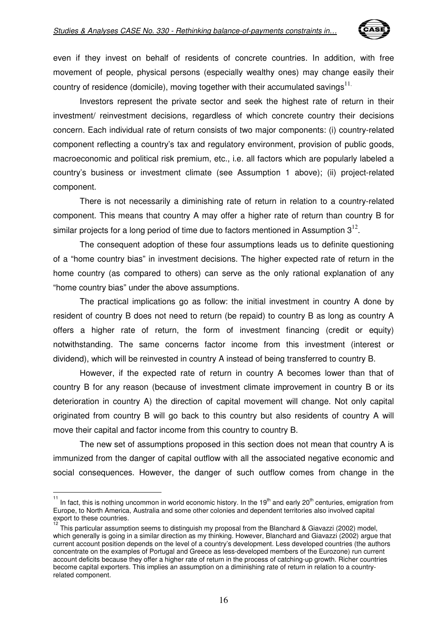

even if they invest on behalf of residents of concrete countries. In addition, with free movement of people, physical persons (especially wealthy ones) may change easily their country of residence (domicile), moving together with their accumulated savings $^{11}$ .

Investors represent the private sector and seek the highest rate of return in their investment/ reinvestment decisions, regardless of which concrete country their decisions concern. Each individual rate of return consists of two major components: (i) country-related component reflecting a country's tax and regulatory environment, provision of public goods, macroeconomic and political risk premium, etc., i.e. all factors which are popularly labeled a country's business or investment climate (see Assumption 1 above); (ii) project-related component.

There is not necessarily a diminishing rate of return in relation to a country-related component. This means that country A may offer a higher rate of return than country B for similar projects for a long period of time due to factors mentioned in Assumption  $3^{12}$ .

The consequent adoption of these four assumptions leads us to definite questioning of a "home country bias" in investment decisions. The higher expected rate of return in the home country (as compared to others) can serve as the only rational explanation of any "home country bias" under the above assumptions.

The practical implications go as follow: the initial investment in country A done by resident of country B does not need to return (be repaid) to country B as long as country A offers a higher rate of return, the form of investment financing (credit or equity) notwithstanding. The same concerns factor income from this investment (interest or dividend), which will be reinvested in country A instead of being transferred to country B.

However, if the expected rate of return in country A becomes lower than that of country B for any reason (because of investment climate improvement in country B or its deterioration in country A) the direction of capital movement will change. Not only capital originated from country B will go back to this country but also residents of country A will move their capital and factor income from this country to country B.

The new set of assumptions proposed in this section does not mean that country A is immunized from the danger of capital outflow with all the associated negative economic and social consequences. However, the danger of such outflow comes from change in the

 $\frac{1}{11}$ 

In fact, this is nothing uncommon in world economic history. In the  $19<sup>th</sup>$  and early 20<sup>th</sup> centuries, emigration from Europe, to North America, Australia and some other colonies and dependent territories also involved capital export to these countries.

This particular assumption seems to distinguish my proposal from the Blanchard & Giavazzi (2002) model, which generally is going in a similar direction as my thinking. However, Blanchard and Giavazzi (2002) argue that current account position depends on the level of a country's development. Less developed countries (the authors concentrate on the examples of Portugal and Greece as less-developed members of the Eurozone) run current account deficits because they offer a higher rate of return in the process of catching-up growth. Richer countries become capital exporters. This implies an assumption on a diminishing rate of return in relation to a countryrelated component.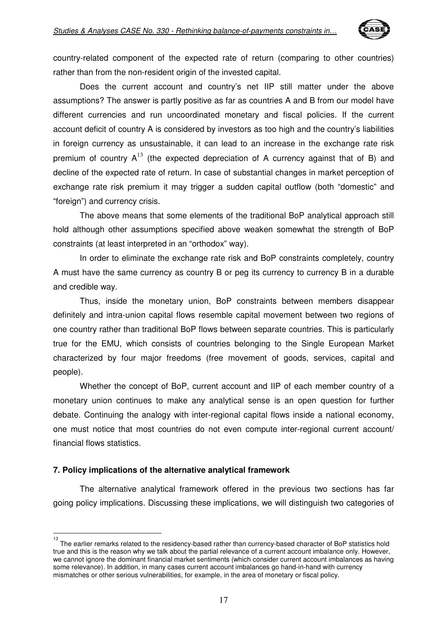

country-related component of the expected rate of return (comparing to other countries) rather than from the non-resident origin of the invested capital.

Does the current account and country's net IIP still matter under the above assumptions? The answer is partly positive as far as countries A and B from our model have different currencies and run uncoordinated monetary and fiscal policies. If the current account deficit of country A is considered by investors as too high and the country's liabilities in foreign currency as unsustainable, it can lead to an increase in the exchange rate risk premium of country  $A^{13}$  (the expected depreciation of A currency against that of B) and decline of the expected rate of return. In case of substantial changes in market perception of exchange rate risk premium it may trigger a sudden capital outflow (both "domestic" and "foreign") and currency crisis.

The above means that some elements of the traditional BoP analytical approach still hold although other assumptions specified above weaken somewhat the strength of BoP constraints (at least interpreted in an "orthodox" way).

In order to eliminate the exchange rate risk and BoP constraints completely, country A must have the same currency as country B or peg its currency to currency B in a durable and credible way.

Thus, inside the monetary union, BoP constraints between members disappear definitely and intra-union capital flows resemble capital movement between two regions of one country rather than traditional BoP flows between separate countries. This is particularly true for the EMU, which consists of countries belonging to the Single European Market characterized by four major freedoms (free movement of goods, services, capital and people).

Whether the concept of BoP, current account and IIP of each member country of a monetary union continues to make any analytical sense is an open question for further debate. Continuing the analogy with inter-regional capital flows inside a national economy, one must notice that most countries do not even compute inter-regional current account/ financial flows statistics.

#### **7. Policy implications of the alternative analytical framework**

 $\overline{\phantom{a}}$ 

The alternative analytical framework offered in the previous two sections has far going policy implications. Discussing these implications, we will distinguish two categories of

<sup>13</sup> The earlier remarks related to the residency-based rather than currency-based character of BoP statistics hold true and this is the reason why we talk about the partial relevance of a current account imbalance only. However, we cannot ignore the dominant financial market sentiments (which consider current account imbalances as having some relevance). In addition, in many cases current account imbalances go hand-in-hand with currency mismatches or other serious vulnerabilities, for example, in the area of monetary or fiscal policy.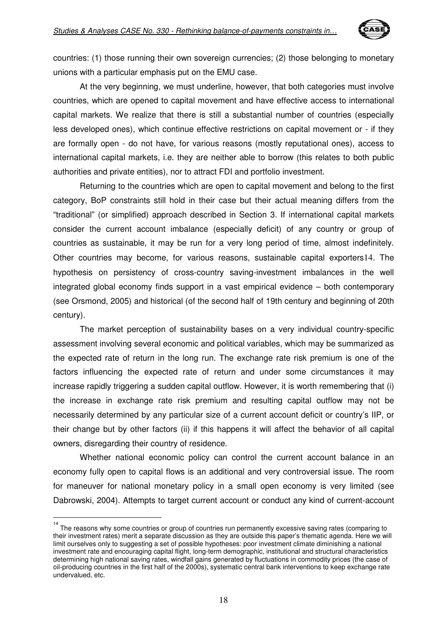

countries: (1) those running their own sovereign currencies; (2) those belonging to monetary unions with a particular emphasis put on the EMU case.

At the very beginning, we must underline, however, that both categories must involve countries, which are opened to capital movement and have effective access to international capital markets. We realize that there is still a substantial number of countries (especially less developed ones), which continue effective restrictions on capital movement or - if they are formally open - do not have, for various reasons (mostly reputational ones), access to international capital markets, i.e. they are neither able to borrow (this relates to both public authorities and private entities), nor to attract FDI and portfolio investment.

Returning to the countries which are open to capital movement and belong to the first category, BoP constraints still hold in their case but their actual meaning differs from the "traditional" (or simplified) approach described in Section 3. If international capital markets consider the current account imbalance (especially deficit) of any country or group of countries as sustainable, it may be run for a very long period of time, almost indefinitely. Other countries may become, for various reasons, sustainable capital exporters14. The hypothesis on persistency of cross-country saving-investment imbalances in the well integrated global economy finds support in a vast empirical evidence – both contemporary (see Orsmond, 2005) and historical (of the second half of 19th century and beginning of 20th century).

The market perception of sustainability bases on a very individual country-specific assessment involving several economic and political variables, which may be summarized as the expected rate of return in the long run. The exchange rate risk premium is one of the factors influencing the expected rate of return and under some circumstances it may increase rapidly triggering a sudden capital outflow. However, it is worth remembering that (i) the increase in exchange rate risk premium and resulting capital outflow may not be necessarily determined by any particular size of a current account deficit or country's IIP, or their change but by other factors (ii) if this happens it will affect the behavior of all capital owners, disregarding their country of residence.

Whether national economic policy can control the current account balance in an economy fully open to capital flows is an additional and very controversial issue. The room for maneuver for national monetary policy in a small open economy is very limited (see Dabrowski, 2004). Attempts to target current account or conduct any kind of current-account

 14 The reasons why some countries or group of countries run permanently excessive saving rates (comparing to their investment rates) merit a separate discussion as they are outside this paper's thematic agenda. Here we will limit ourselves only to suggesting a set of possible hypotheses: poor investment climate diminishing a national investment rate and encouraging capital flight, long-term demographic, institutional and structural characteristics determining high national saving rates, windfall gains generated by fluctuations in commodity prices (the case of oil-producing countries in the first half of the 2000s), systematic central bank interventions to keep exchange rate undervalued, etc.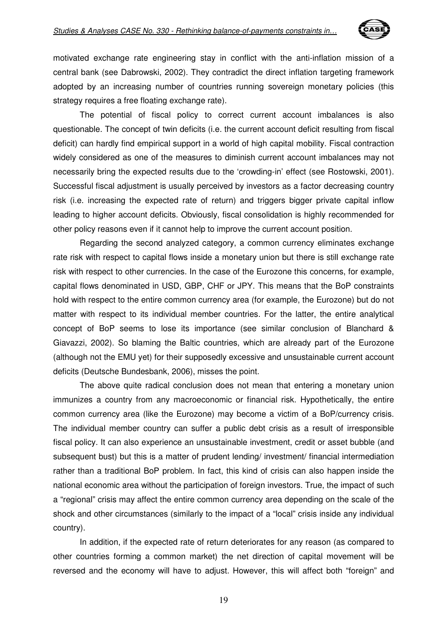

motivated exchange rate engineering stay in conflict with the anti-inflation mission of a central bank (see Dabrowski, 2002). They contradict the direct inflation targeting framework adopted by an increasing number of countries running sovereign monetary policies (this strategy requires a free floating exchange rate).

The potential of fiscal policy to correct current account imbalances is also questionable. The concept of twin deficits (i.e. the current account deficit resulting from fiscal deficit) can hardly find empirical support in a world of high capital mobility. Fiscal contraction widely considered as one of the measures to diminish current account imbalances may not necessarily bring the expected results due to the 'crowding-in' effect (see Rostowski, 2001). Successful fiscal adjustment is usually perceived by investors as a factor decreasing country risk (i.e. increasing the expected rate of return) and triggers bigger private capital inflow leading to higher account deficits. Obviously, fiscal consolidation is highly recommended for other policy reasons even if it cannot help to improve the current account position.

Regarding the second analyzed category, a common currency eliminates exchange rate risk with respect to capital flows inside a monetary union but there is still exchange rate risk with respect to other currencies. In the case of the Eurozone this concerns, for example, capital flows denominated in USD, GBP, CHF or JPY. This means that the BoP constraints hold with respect to the entire common currency area (for example, the Eurozone) but do not matter with respect to its individual member countries. For the latter, the entire analytical concept of BoP seems to lose its importance (see similar conclusion of Blanchard & Giavazzi, 2002). So blaming the Baltic countries, which are already part of the Eurozone (although not the EMU yet) for their supposedly excessive and unsustainable current account deficits (Deutsche Bundesbank, 2006), misses the point.

The above quite radical conclusion does not mean that entering a monetary union immunizes a country from any macroeconomic or financial risk. Hypothetically, the entire common currency area (like the Eurozone) may become a victim of a BoP/currency crisis. The individual member country can suffer a public debt crisis as a result of irresponsible fiscal policy. It can also experience an unsustainable investment, credit or asset bubble (and subsequent bust) but this is a matter of prudent lending/ investment/ financial intermediation rather than a traditional BoP problem. In fact, this kind of crisis can also happen inside the national economic area without the participation of foreign investors. True, the impact of such a "regional" crisis may affect the entire common currency area depending on the scale of the shock and other circumstances (similarly to the impact of a "local" crisis inside any individual country).

In addition, if the expected rate of return deteriorates for any reason (as compared to other countries forming a common market) the net direction of capital movement will be reversed and the economy will have to adjust. However, this will affect both "foreign" and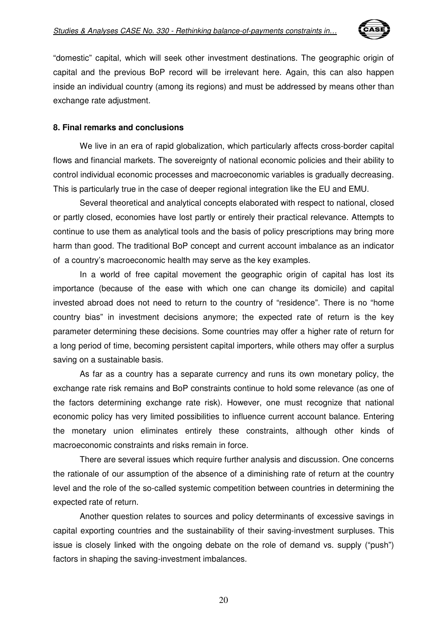

"domestic" capital, which will seek other investment destinations. The geographic origin of capital and the previous BoP record will be irrelevant here. Again, this can also happen inside an individual country (among its regions) and must be addressed by means other than exchange rate adjustment.

#### **8. Final remarks and conclusions**

We live in an era of rapid globalization, which particularly affects cross-border capital flows and financial markets. The sovereignty of national economic policies and their ability to control individual economic processes and macroeconomic variables is gradually decreasing. This is particularly true in the case of deeper regional integration like the EU and EMU.

Several theoretical and analytical concepts elaborated with respect to national, closed or partly closed, economies have lost partly or entirely their practical relevance. Attempts to continue to use them as analytical tools and the basis of policy prescriptions may bring more harm than good. The traditional BoP concept and current account imbalance as an indicator of a country's macroeconomic health may serve as the key examples.

In a world of free capital movement the geographic origin of capital has lost its importance (because of the ease with which one can change its domicile) and capital invested abroad does not need to return to the country of "residence". There is no "home country bias" in investment decisions anymore; the expected rate of return is the key parameter determining these decisions. Some countries may offer a higher rate of return for a long period of time, becoming persistent capital importers, while others may offer a surplus saving on a sustainable basis.

As far as a country has a separate currency and runs its own monetary policy, the exchange rate risk remains and BoP constraints continue to hold some relevance (as one of the factors determining exchange rate risk). However, one must recognize that national economic policy has very limited possibilities to influence current account balance. Entering the monetary union eliminates entirely these constraints, although other kinds of macroeconomic constraints and risks remain in force.

There are several issues which require further analysis and discussion. One concerns the rationale of our assumption of the absence of a diminishing rate of return at the country level and the role of the so-called systemic competition between countries in determining the expected rate of return.

Another question relates to sources and policy determinants of excessive savings in capital exporting countries and the sustainability of their saving-investment surpluses. This issue is closely linked with the ongoing debate on the role of demand vs. supply ("push") factors in shaping the saving-investment imbalances.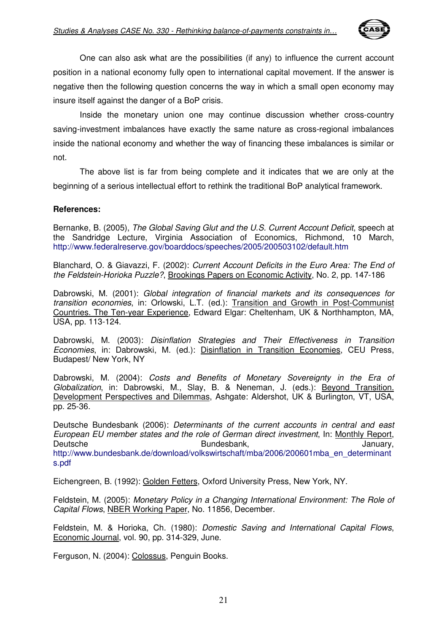

One can also ask what are the possibilities (if any) to influence the current account position in a national economy fully open to international capital movement. If the answer is negative then the following question concerns the way in which a small open economy may insure itself against the danger of a BoP crisis.

Inside the monetary union one may continue discussion whether cross-country saving-investment imbalances have exactly the same nature as cross-regional imbalances inside the national economy and whether the way of financing these imbalances is similar or not.

The above list is far from being complete and it indicates that we are only at the beginning of a serious intellectual effort to rethink the traditional BoP analytical framework.

#### **References:**

Bernanke, B. (2005), The Global Saving Glut and the U.S. Current Account Deficit, speech at the Sandridge Lecture, Virginia Association of Economics, Richmond, 10 March, http://www.federalreserve.gov/boarddocs/speeches/2005/200503102/default.htm

Blanchard, O. & Giavazzi, F. (2002): Current Account Deficits in the Euro Area: The End of the Feldstein-Horioka Puzzle?, Brookings Papers on Economic Activity, No. 2, pp. 147-186

Dabrowski, M. (2001): Global integration of financial markets and its consequences for transition economies, in: Orlowski, L.T. (ed.): Transition and Growth in Post-Communist Countries. The Ten-year Experience, Edward Elgar: Cheltenham, UK & Northhampton, MA, USA, pp. 113-124.

Dabrowski, M. (2003): Disinflation Strategies and Their Effectiveness in Transition Economies, in: Dabrowski, M. (ed.): Disinflation in Transition Economies, CEU Press, Budapest/ New York, NY

Dabrowski, M. (2004): Costs and Benefits of Monetary Sovereignty in the Era of Globalization, in: Dabrowski, M., Slay, B. & Neneman, J. (eds.): Beyond Transition. Development Perspectives and Dilemmas, Ashgate: Aldershot, UK & Burlington, VT, USA, pp. 25-36.

Deutsche Bundesbank (2006): Determinants of the current accounts in central and east European EU member states and the role of German direct investment, In: Monthly Report, Deutsche Bundesbank, Deutsche January, Deutsche Bundesbank, Deutsche January, Deutsche Bundesbank, Deutsche January, http://www.bundesbank.de/download/volkswirtschaft/mba/2006/200601mba\_en\_determinant s.pdf

Eichengreen, B. (1992): Golden Fetters, Oxford University Press, New York, NY.

Feldstein, M. (2005): Monetary Policy in a Changing International Environment: The Role of Capital Flows, NBER Working Paper, No. 11856, December.

Feldstein, M. & Horioka, Ch. (1980): Domestic Saving and International Capital Flows, Economic Journal, vol. 90, pp. 314-329, June.

Ferguson, N. (2004): Colossus, Penguin Books.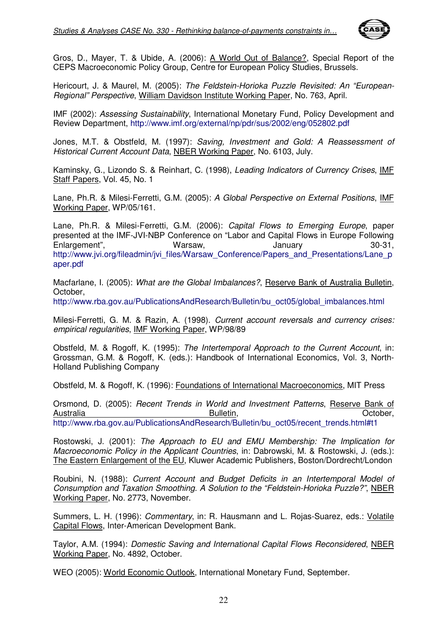

Gros, D., Mayer, T. & Ubide, A. (2006): A World Out of Balance?, Special Report of the CEPS Macroeconomic Policy Group, Centre for European Policy Studies, Brussels.

Hericourt, J. & Maurel, M. (2005): The Feldstein-Horioka Puzzle Revisited: An "European-Regional" Perspective, William Davidson Institute Working Paper, No. 763, April.

IMF (2002): Assessing Sustainability, International Monetary Fund, Policy Development and Review Department, http://www.imf.org/external/np/pdr/sus/2002/eng/052802.pdf

Jones, M.T. & Obstfeld, M. (1997): Saving, Investment and Gold: A Reassessment of Historical Current Account Data, NBER Working Paper, No. 6103, July.

Kaminsky, G., Lizondo S. & Reinhart, C. (1998), Leading Indicators of Currency Crises, IMF Staff Papers, Vol. 45, No. 1

Lane, Ph.R. & Milesi-Ferretti, G.M. (2005): A Global Perspective on External Positions, IMF Working Paper, WP/05/161.

Lane, Ph.R. & Milesi-Ferretti, G.M. (2006): Capital Flows to Emerging Europe, paper presented at the IMF-JVI-NBP Conference on "Labor and Capital Flows in Europe Following Enlargement", Warsaw, January 30-31, http://www.jvi.org/fileadmin/jvi\_files/Warsaw\_Conference/Papers\_and\_Presentations/Lane\_p aper.pdf

Macfarlane, I. (2005): What are the Global Imbalances?, Reserve Bank of Australia Bulletin, October,

http://www.rba.gov.au/PublicationsAndResearch/Bulletin/bu\_oct05/global\_imbalances.html

Milesi-Ferretti, G. M. & Razin, A. (1998). Current account reversals and currency crises: empirical regularities, IMF Working Paper, WP/98/89

Obstfeld, M. & Rogoff, K. (1995): The Intertemporal Approach to the Current Account, in: Grossman, G.M. & Rogoff, K. (eds.): Handbook of International Economics, Vol. 3, North-Holland Publishing Company

Obstfeld, M. & Rogoff, K. (1996): Foundations of International Macroeconomics, MIT Press

Orsmond, D. (2005): Recent Trends in World and Investment Patterns, Reserve Bank of Australia **Bulletin**, **Bulletin, Communistralia Bulletin**, **Communistralia Communistralia** http://www.rba.gov.au/PublicationsAndResearch/Bulletin/bu\_oct05/recent\_trends.html#t1

Rostowski, J. (2001): The Approach to EU and EMU Membership: The Implication for Macroeconomic Policy in the Applicant Countries, in: Dabrowski, M. & Rostowski, J. (eds.): The Eastern Enlargement of the EU, Kluwer Academic Publishers, Boston/Dordrecht/London

Roubini, N. (1988): Current Account and Budget Deficits in an Intertemporal Model of Consumption and Taxation Smoothing. A Solution to the "Feldstein-Horioka Puzzle?", NBER Working Paper, No. 2773, November.

Summers, L. H. (1996): Commentary, in: R. Hausmann and L. Rojas-Suarez, eds.: Volatile Capital Flows, Inter-American Development Bank.

Taylor, A.M. (1994): Domestic Saving and International Capital Flows Reconsidered, NBER Working Paper, No. 4892, October.

WEO (2005): World Economic Outlook, International Monetary Fund, September.